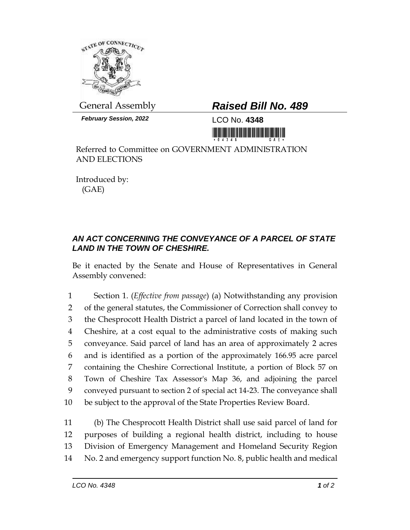

*February Session, 2022* LCO No. **4348**

## General Assembly *Raised Bill No. 489*

<u> 1999 - An Dùbhlachd Marwrig Marwr a gan a bhan an Dùbhlachd ann an Dùbhlachd Marwr a bhan an Dùbhlachd Marwr</u>

Referred to Committee on GOVERNMENT ADMINISTRATION AND ELECTIONS

Introduced by: (GAE)

## *AN ACT CONCERNING THE CONVEYANCE OF A PARCEL OF STATE LAND IN THE TOWN OF CHESHIRE.*

Be it enacted by the Senate and House of Representatives in General Assembly convened:

 Section 1. (*Effective from passage*) (a) Notwithstanding any provision of the general statutes, the Commissioner of Correction shall convey to the Chesprocott Health District a parcel of land located in the town of Cheshire, at a cost equal to the administrative costs of making such conveyance. Said parcel of land has an area of approximately 2 acres and is identified as a portion of the approximately 166.95 acre parcel containing the Cheshire Correctional Institute, a portion of Block 57 on Town of Cheshire Tax Assessor's Map 36, and adjoining the parcel conveyed pursuant to section 2 of special act 14-23. The conveyance shall be subject to the approval of the State Properties Review Board.

 (b) The Chesprocott Health District shall use said parcel of land for purposes of building a regional health district, including to house Division of Emergency Management and Homeland Security Region No. 2 and emergency support function No. 8, public health and medical